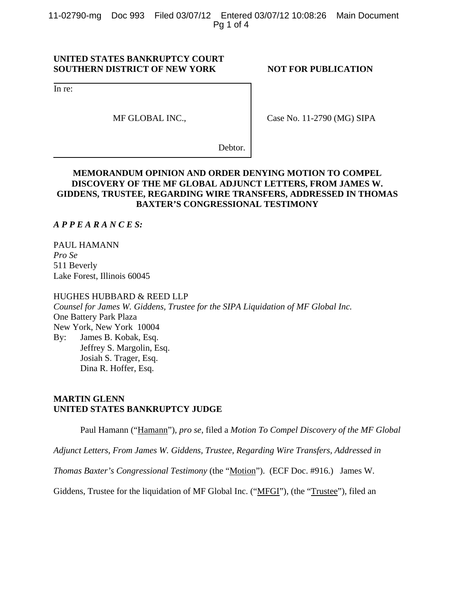11-02790-mg Doc 993 Filed 03/07/12 Entered 03/07/12 10:08:26 Main Document Pg 1 of 4

## **UNITED STATES BANKRUPTCY COURT SOUTHERN DISTRICT OF NEW YORK NOT FOR PUBLICATION**

In re:

MF GLOBAL INC.,

Case No. 11-2790 (MG) SIPA

Debtor.

## **MEMORANDUM OPINION AND ORDER DENYING MOTION TO COMPEL DISCOVERY OF THE MF GLOBAL ADJUNCT LETTERS, FROM JAMES W. GIDDENS, TRUSTEE, REGARDING WIRE TRANSFERS, ADDRESSED IN THOMAS BAXTER'S CONGRESSIONAL TESTIMONY**

*A P P E A R A N C E S:*

PAUL HAMANN *Pro Se* 511 Beverly Lake Forest, Illinois 60045

HUGHES HUBBARD & REED LLP *Counsel for James W. Giddens, Trustee for the SIPA Liquidation of MF Global Inc.*  One Battery Park Plaza New York, New York 10004 By: James B. Kobak, Esq. Jeffrey S. Margolin, Esq. Josiah S. Trager, Esq. Dina R. Hoffer, Esq.

## **MARTIN GLENN UNITED STATES BANKRUPTCY JUDGE**

Paul Hamann ("Hamann"), *pro se*, filed a *Motion To Compel Discovery of the MF Global* 

*Adjunct Letters, From James W. Giddens, Trustee, Regarding Wire Transfers, Addressed in* 

*Thomas Baxter's Congressional Testimony* (the "Motion"). (ECF Doc. #916.) James W.

Giddens, Trustee for the liquidation of MF Global Inc. ("MFGI"), (the "Trustee"), filed an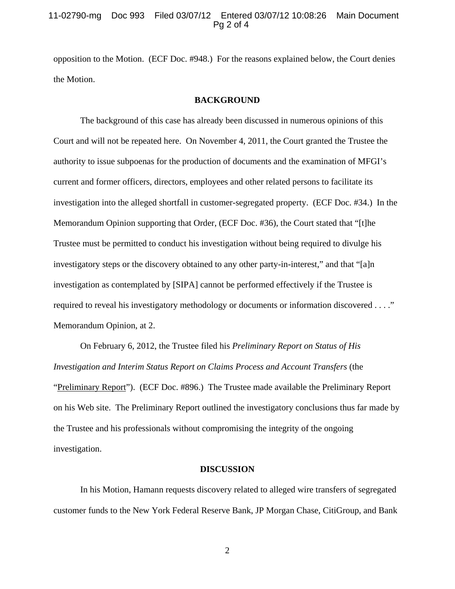### 11-02790-mg Doc 993 Filed 03/07/12 Entered 03/07/12 10:08:26 Main Document Pg 2 of 4

opposition to the Motion. (ECF Doc. #948.) For the reasons explained below, the Court denies the Motion.

#### **BACKGROUND**

The background of this case has already been discussed in numerous opinions of this Court and will not be repeated here. On November 4, 2011, the Court granted the Trustee the authority to issue subpoenas for the production of documents and the examination of MFGI's current and former officers, directors, employees and other related persons to facilitate its investigation into the alleged shortfall in customer-segregated property. (ECF Doc. #34.) In the Memorandum Opinion supporting that Order, (ECF Doc. #36), the Court stated that "[t]he Trustee must be permitted to conduct his investigation without being required to divulge his investigatory steps or the discovery obtained to any other party-in-interest," and that "[a]n investigation as contemplated by [SIPA] cannot be performed effectively if the Trustee is required to reveal his investigatory methodology or documents or information discovered . . . ." Memorandum Opinion, at 2.

On February 6, 2012, the Trustee filed his *Preliminary Report on Status of His Investigation and Interim Status Report on Claims Process and Account Transfers* (the "Preliminary Report"). (ECF Doc. #896.) The Trustee made available the Preliminary Report on his Web site. The Preliminary Report outlined the investigatory conclusions thus far made by the Trustee and his professionals without compromising the integrity of the ongoing investigation.

#### **DISCUSSION**

In his Motion, Hamann requests discovery related to alleged wire transfers of segregated customer funds to the New York Federal Reserve Bank, JP Morgan Chase, CitiGroup, and Bank

2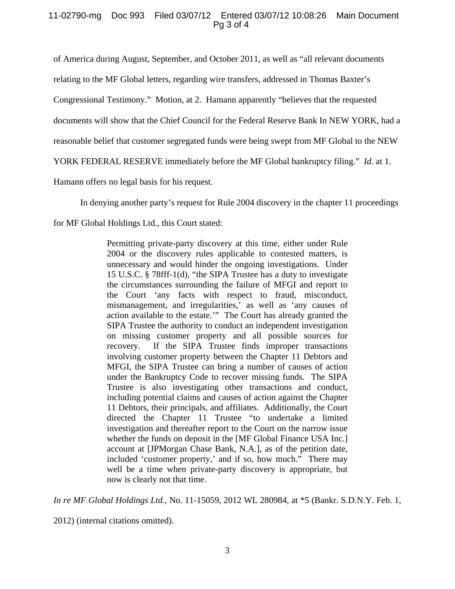## 11-02790-mg Doc 993 Filed 03/07/12 Entered 03/07/12 10:08:26 Main Document Pg 3 of 4

of America during August, September, and October 2011, as well as "all relevant documents

relating to the MF Global letters, regarding wire transfers, addressed in Thomas Baxter's

Congressional Testimony." Motion, at 2. Hamann apparently "believes that the requested

documents will show that the Chief Council for the Federal Reserve Bank In NEW YORK, had a

reasonable belief that customer segregated funds were being swept from MF Global to the NEW

YORK FEDERAL RESERVE immediately before the MF Global bankruptcy filing." *Id.* at 1.

Hamann offers no legal basis for his request.

In denying another party's request for Rule 2004 discovery in the chapter 11 proceedings

for MF Global Holdings Ltd., this Court stated:

Permitting private-party discovery at this time, either under Rule 2004 or the discovery rules applicable to contested matters, is unnecessary and would hinder the ongoing investigations. Under 15 U.S.C. § 78fff-1(d), "the SIPA Trustee has a duty to investigate the circumstances surrounding the failure of MFGI and report to the Court 'any facts with respect to fraud, misconduct, mismanagement, and irregularities,' as well as 'any causes of action available to the estate.'" The Court has already granted the SIPA Trustee the authority to conduct an independent investigation on missing customer property and all possible sources for recovery. If the SIPA Trustee finds improper transactions involving customer property between the Chapter 11 Debtors and MFGI, the SIPA Trustee can bring a number of causes of action under the Bankruptcy Code to recover missing funds. The SIPA Trustee is also investigating other transactions and conduct, including potential claims and causes of action against the Chapter 11 Debtors, their principals, and affiliates. Additionally, the Court directed the Chapter 11 Trustee "to undertake a limited investigation and thereafter report to the Court on the narrow issue whether the funds on deposit in the [MF Global Finance USA Inc.] account at [JPMorgan Chase Bank, N.A.], as of the petition date, included 'customer property,' and if so, how much." There may well be a time when private-party discovery is appropriate, but now is clearly not that time.

*In re MF Global Holdings Ltd*., No. 11-15059, 2012 WL 280984, at \*5 (Bankr. S.D.N.Y. Feb. 1,

2012) (internal citations omitted).